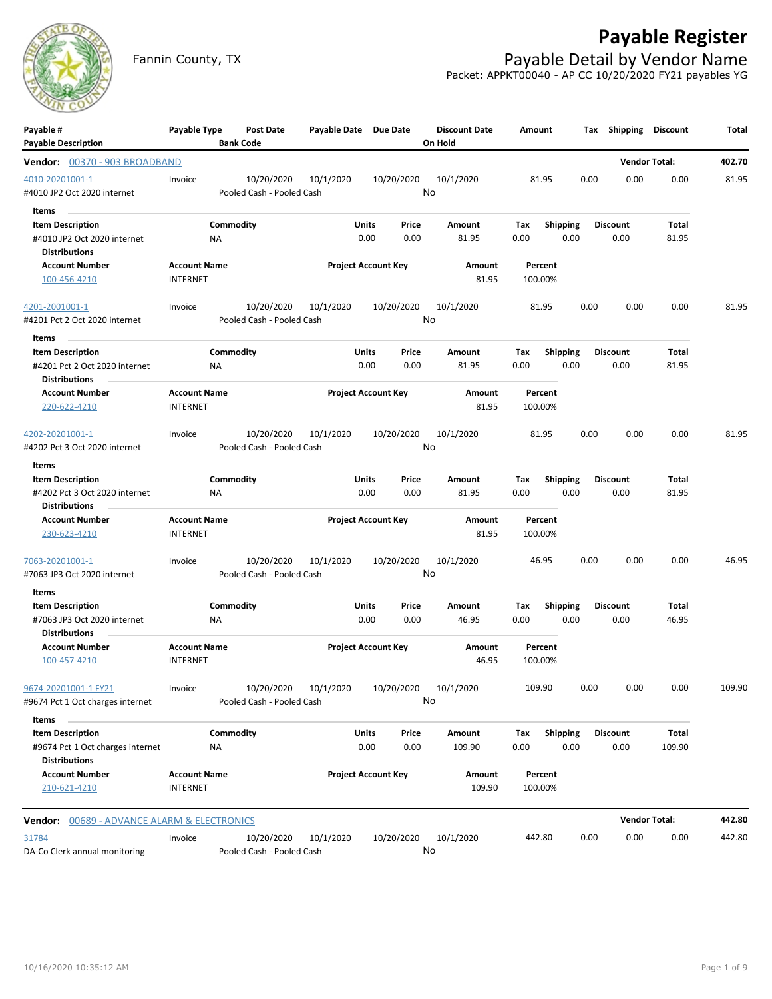

## **Payable Register**

Fannin County, TX **Payable Detail by Vendor Name** Packet: APPKT00040 - AP CC 10/20/2020 FY21 payables YG

| Payable #                                           | Payable Type        | Post Date                 | Payable Date Due Date |                            | <b>Discount Date</b> | Amount  |                 | Tax Shipping Discount |                      | Total  |
|-----------------------------------------------------|---------------------|---------------------------|-----------------------|----------------------------|----------------------|---------|-----------------|-----------------------|----------------------|--------|
| <b>Payable Description</b>                          |                     | <b>Bank Code</b>          |                       |                            | On Hold              |         |                 |                       |                      |        |
| Vendor: 00370 - 903 BROADBAND                       |                     |                           |                       |                            |                      |         |                 |                       | <b>Vendor Total:</b> | 402.70 |
| 4010-20201001-1                                     | Invoice             | 10/20/2020                | 10/1/2020             | 10/20/2020                 | 10/1/2020            | 81.95   |                 | 0.00<br>0.00          | 0.00                 | 81.95  |
| #4010 JP2 Oct 2020 internet                         |                     | Pooled Cash - Pooled Cash |                       |                            | No                   |         |                 |                       |                      |        |
| Items<br>$\sim$                                     |                     |                           |                       |                            |                      |         |                 |                       |                      |        |
| <b>Item Description</b>                             |                     | Commodity                 |                       | Units<br>Price             | Amount               | Tax     | Shipping        | <b>Discount</b>       | Total                |        |
| #4010 JP2 Oct 2020 internet<br><b>Distributions</b> | ΝA                  |                           |                       | 0.00<br>0.00               | 81.95                | 0.00    | 0.00            | 0.00                  | 81.95                |        |
| <b>Account Number</b>                               | <b>Account Name</b> |                           |                       | <b>Project Account Key</b> | Amount               | Percent |                 |                       |                      |        |
| 100-456-4210                                        | <b>INTERNET</b>     |                           |                       |                            | 81.95                | 100.00% |                 |                       |                      |        |
| 4201-2001001-1                                      | Invoice             | 10/20/2020                | 10/1/2020             | 10/20/2020                 | 10/1/2020            | 81.95   |                 | 0.00<br>0.00          | 0.00                 | 81.95  |
| #4201 Pct 2 Oct 2020 internet                       |                     | Pooled Cash - Pooled Cash |                       |                            | No                   |         |                 |                       |                      |        |
| Items                                               |                     |                           |                       |                            |                      |         |                 |                       |                      |        |
| <b>Item Description</b>                             |                     | Commodity                 |                       | Units<br>Price             | Amount               | Tax     | Shipping        | <b>Discount</b>       | Total                |        |
| #4201 Pct 2 Oct 2020 internet                       | ΝA                  |                           |                       | 0.00<br>0.00               | 81.95                | 0.00    | 0.00            | 0.00                  | 81.95                |        |
| <b>Distributions</b>                                |                     |                           |                       |                            |                      |         |                 |                       |                      |        |
| <b>Account Number</b>                               | <b>Account Name</b> |                           |                       | <b>Project Account Key</b> | Amount               | Percent |                 |                       |                      |        |
| 220-622-4210                                        | <b>INTERNET</b>     |                           |                       |                            | 81.95                | 100.00% |                 |                       |                      |        |
| 4202-20201001-1                                     | Invoice             | 10/20/2020                | 10/1/2020             | 10/20/2020                 | 10/1/2020            | 81.95   |                 | 0.00<br>0.00          | 0.00                 | 81.95  |
| #4202 Pct 3 Oct 2020 internet                       |                     | Pooled Cash - Pooled Cash |                       |                            | No                   |         |                 |                       |                      |        |
| Items                                               |                     |                           |                       |                            |                      |         |                 |                       |                      |        |
| <b>Item Description</b>                             |                     | Commodity                 |                       | <b>Units</b><br>Price      | Amount               | Tax     | Shipping        | <b>Discount</b>       | Total                |        |
| #4202 Pct 3 Oct 2020 internet                       | ΝA                  |                           |                       | 0.00<br>0.00               | 81.95                | 0.00    | 0.00            | 0.00                  | 81.95                |        |
| <b>Distributions</b>                                |                     |                           |                       |                            |                      |         |                 |                       |                      |        |
| <b>Account Number</b>                               | <b>Account Name</b> |                           |                       | <b>Project Account Key</b> | Amount               | Percent |                 |                       |                      |        |
| 230-623-4210                                        | <b>INTERNET</b>     |                           |                       |                            | 81.95                | 100.00% |                 |                       |                      |        |
| 7063-20201001-1                                     | Invoice             | 10/20/2020                | 10/1/2020             | 10/20/2020                 | 10/1/2020            | 46.95   |                 | 0.00<br>0.00          | 0.00                 | 46.95  |
| #7063 JP3 Oct 2020 internet                         |                     | Pooled Cash - Pooled Cash |                       |                            | No                   |         |                 |                       |                      |        |
| Items                                               |                     |                           |                       |                            |                      |         |                 |                       |                      |        |
| <b>Item Description</b>                             |                     | Commodity                 |                       | Units<br>Price             | Amount               | Tax     | <b>Shipping</b> | <b>Discount</b>       | Total                |        |
| #7063 JP3 Oct 2020 internet<br><b>Distributions</b> | ΝA                  |                           |                       | 0.00<br>0.00               | 46.95                | 0.00    | 0.00            | 0.00                  | 46.95                |        |
| <b>Account Number</b>                               | <b>Account Name</b> |                           |                       | <b>Project Account Key</b> | Amount               | Percent |                 |                       |                      |        |
| 100-457-4210                                        | <b>INTERNET</b>     |                           |                       |                            | 46.95                | 100.00% |                 |                       |                      |        |
| 9674-20201001-1 FY21                                | Invoice             |                           | 10/20/2020 10/1/2020  |                            | 10/20/2020 10/1/2020 | 109.90  |                 | 0.00<br>0.00          | 0.00                 | 109.90 |
| #9674 Pct 1 Oct charges internet                    |                     | Pooled Cash - Pooled Cash |                       |                            | No                   |         |                 |                       |                      |        |
| Items                                               |                     |                           |                       |                            |                      |         |                 |                       |                      |        |
| <b>Item Description</b>                             |                     | Commodity                 |                       | Units<br>Price             | Amount               | Tax     | Shipping        | <b>Discount</b>       | Total                |        |
| #9674 Pct 1 Oct charges internet                    | ΝA                  |                           |                       | 0.00<br>0.00               | 109.90               | 0.00    | 0.00            | 0.00                  | 109.90               |        |
| <b>Distributions</b>                                |                     |                           |                       |                            |                      |         |                 |                       |                      |        |
| <b>Account Number</b>                               | <b>Account Name</b> |                           |                       | <b>Project Account Key</b> | Amount               | Percent |                 |                       |                      |        |
| 210-621-4210                                        | <b>INTERNET</b>     |                           |                       |                            | 109.90               | 100.00% |                 |                       |                      |        |
| Vendor: 00689 - ADVANCE ALARM & ELECTRONICS         |                     |                           |                       |                            |                      |         |                 |                       | <b>Vendor Total:</b> | 442.80 |
| 31784                                               | Invoice             | 10/20/2020                | 10/1/2020             | 10/20/2020                 | 10/1/2020            | 442.80  |                 | 0.00<br>0.00          | 0.00                 | 442.80 |
| DA-Co Clerk annual monitoring                       |                     | Pooled Cash - Pooled Cash |                       |                            | No                   |         |                 |                       |                      |        |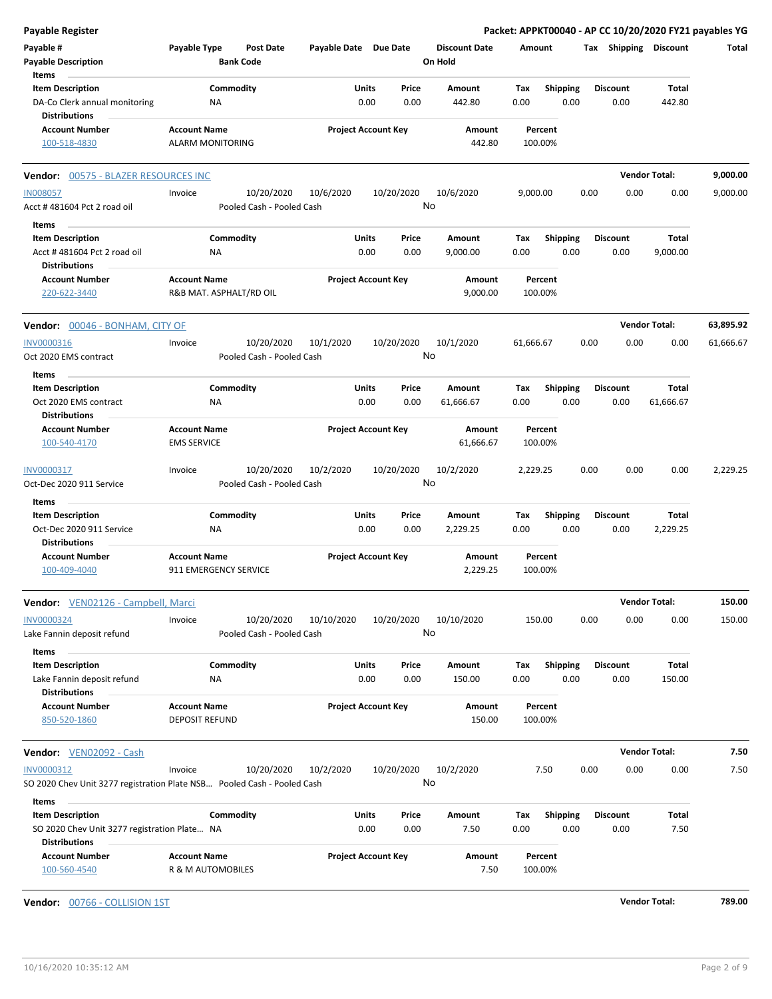| <b>Payable Register</b>                                                 |                                                |                                         |                       |                            |                      |                    |                 |      |                 | Packet: APPKT00040 - AP CC 10/20/2020 FY21 payables YG |           |
|-------------------------------------------------------------------------|------------------------------------------------|-----------------------------------------|-----------------------|----------------------------|----------------------|--------------------|-----------------|------|-----------------|--------------------------------------------------------|-----------|
| Payable #                                                               | Payable Type                                   | <b>Post Date</b>                        | Payable Date Due Date |                            | <b>Discount Date</b> | Amount             |                 |      |                 | Tax Shipping Discount                                  | Total     |
| <b>Payable Description</b>                                              |                                                | <b>Bank Code</b>                        |                       |                            | On Hold              |                    |                 |      |                 |                                                        |           |
| Items                                                                   |                                                |                                         |                       |                            |                      |                    |                 |      |                 |                                                        |           |
| <b>Item Description</b>                                                 |                                                | Commodity                               |                       | Units<br>Price             | Amount               | Tax                | <b>Shipping</b> |      | <b>Discount</b> | Total                                                  |           |
| DA-Co Clerk annual monitoring<br><b>Distributions</b>                   | <b>NA</b>                                      |                                         |                       | 0.00<br>0.00               | 442.80               | 0.00               | 0.00            |      | 0.00            | 442.80                                                 |           |
| <b>Account Number</b>                                                   | <b>Account Name</b>                            |                                         |                       | <b>Project Account Key</b> | Amount               | Percent            |                 |      |                 |                                                        |           |
| 100-518-4830                                                            | <b>ALARM MONITORING</b>                        |                                         |                       |                            | 442.80               | 100.00%            |                 |      |                 |                                                        |           |
| Vendor: 00575 - BLAZER RESOURCES INC                                    |                                                |                                         |                       |                            |                      |                    |                 |      |                 | <b>Vendor Total:</b>                                   | 9,000.00  |
| <b>IN008057</b>                                                         | Invoice                                        | 10/20/2020                              | 10/6/2020             | 10/20/2020                 | 10/6/2020            | 9,000.00           |                 | 0.00 | 0.00            | 0.00                                                   | 9,000.00  |
| Acct #481604 Pct 2 road oil                                             |                                                | Pooled Cash - Pooled Cash               |                       |                            | No                   |                    |                 |      |                 |                                                        |           |
| Items                                                                   |                                                |                                         |                       |                            |                      |                    |                 |      |                 |                                                        |           |
| <b>Item Description</b>                                                 |                                                | Commodity                               |                       | Units<br>Price             | Amount               | Tax                | <b>Shipping</b> |      | <b>Discount</b> | Total                                                  |           |
| Acct #481604 Pct 2 road oil                                             | ΝA                                             |                                         |                       | 0.00<br>0.00               | 9,000.00             | 0.00               | 0.00            |      | 0.00            | 9,000.00                                               |           |
| <b>Distributions</b>                                                    |                                                |                                         |                       |                            |                      |                    |                 |      |                 |                                                        |           |
| <b>Account Number</b><br>220-622-3440                                   | <b>Account Name</b><br>R&B MAT. ASPHALT/RD OIL |                                         |                       | <b>Project Account Key</b> | Amount<br>9,000.00   | Percent<br>100.00% |                 |      |                 |                                                        |           |
|                                                                         |                                                |                                         |                       |                            |                      |                    |                 |      |                 |                                                        |           |
| Vendor: 00046 - BONHAM, CITY OF                                         |                                                |                                         |                       |                            |                      |                    |                 |      |                 | <b>Vendor Total:</b>                                   | 63,895.92 |
| INV0000316<br>Oct 2020 EMS contract                                     | Invoice                                        | 10/20/2020<br>Pooled Cash - Pooled Cash | 10/1/2020             | 10/20/2020                 | 10/1/2020<br>No      | 61,666.67          |                 | 0.00 | 0.00            | 0.00                                                   | 61,666.67 |
| Items                                                                   |                                                |                                         |                       |                            |                      |                    |                 |      |                 |                                                        |           |
| <b>Item Description</b>                                                 |                                                | Commodity                               |                       | Units<br>Price             | Amount               | Tax                | <b>Shipping</b> |      | <b>Discount</b> | Total                                                  |           |
| Oct 2020 EMS contract<br><b>Distributions</b>                           | ΝA                                             |                                         |                       | 0.00<br>0.00               | 61,666.67            | 0.00               | 0.00            |      | 0.00            | 61,666.67                                              |           |
| <b>Account Number</b>                                                   | <b>Account Name</b>                            |                                         |                       | <b>Project Account Key</b> | Amount               | Percent            |                 |      |                 |                                                        |           |
| 100-540-4170                                                            | <b>EMS SERVICE</b>                             |                                         |                       |                            | 61,666.67            | 100.00%            |                 |      |                 |                                                        |           |
| INV0000317                                                              | Invoice                                        | 10/20/2020                              | 10/2/2020             | 10/20/2020                 | 10/2/2020            | 2,229.25           |                 | 0.00 | 0.00            | 0.00                                                   | 2,229.25  |
| Oct-Dec 2020 911 Service                                                |                                                | Pooled Cash - Pooled Cash               |                       |                            | No                   |                    |                 |      |                 |                                                        |           |
| Items                                                                   |                                                |                                         |                       |                            |                      |                    |                 |      |                 |                                                        |           |
| <b>Item Description</b>                                                 |                                                | Commodity                               |                       | Units<br>Price             | Amount               | Tax                | Shipping        |      | <b>Discount</b> | Total                                                  |           |
| Oct-Dec 2020 911 Service                                                | <b>NA</b>                                      |                                         |                       | 0.00<br>0.00               | 2,229.25             | 0.00               | 0.00            |      | 0.00            | 2,229.25                                               |           |
| <b>Distributions</b>                                                    |                                                |                                         |                       |                            |                      |                    |                 |      |                 |                                                        |           |
| <b>Account Number</b><br>100-409-4040                                   | <b>Account Name</b><br>911 EMERGENCY SERVICE   |                                         |                       | <b>Project Account Key</b> | Amount<br>2,229.25   | Percent<br>100.00% |                 |      |                 |                                                        |           |
|                                                                         |                                                |                                         |                       |                            |                      |                    |                 |      |                 |                                                        |           |
| Vendor: VEN02126 - Campbell, Marci                                      |                                                |                                         |                       |                            |                      |                    |                 |      |                 | <b>Vendor Total:</b>                                   | 150.00    |
| <b>INV0000324</b>                                                       | Invoice                                        | 10/20/2020<br>Pooled Cash - Pooled Cash | 10/10/2020            | 10/20/2020                 | 10/10/2020<br>No     | 150.00             |                 | 0.00 | 0.00            | 0.00                                                   | 150.00    |
| Lake Fannin deposit refund                                              |                                                |                                         |                       |                            |                      |                    |                 |      |                 |                                                        |           |
| Items                                                                   |                                                |                                         |                       |                            |                      |                    |                 |      |                 |                                                        |           |
| <b>Item Description</b>                                                 |                                                | Commodity                               |                       | Units<br>Price             | Amount               | Tax                | <b>Shipping</b> |      | <b>Discount</b> | Total                                                  |           |
| Lake Fannin deposit refund                                              | ΝA                                             |                                         |                       | 0.00<br>0.00               | 150.00               | 0.00               | 0.00            |      | 0.00            | 150.00                                                 |           |
| <b>Distributions</b>                                                    |                                                |                                         |                       |                            |                      |                    |                 |      |                 |                                                        |           |
| <b>Account Number</b>                                                   | <b>Account Name</b>                            |                                         |                       | <b>Project Account Key</b> | Amount               | Percent            |                 |      |                 |                                                        |           |
| 850-520-1860                                                            | <b>DEPOSIT REFUND</b>                          |                                         |                       |                            | 150.00               | 100.00%            |                 |      |                 |                                                        |           |
| Vendor: VEN02092 - Cash                                                 |                                                |                                         |                       |                            |                      |                    |                 |      |                 | <b>Vendor Total:</b>                                   | 7.50      |
| INV0000312                                                              | Invoice                                        | 10/20/2020                              | 10/2/2020             | 10/20/2020                 | 10/2/2020            |                    | 7.50            | 0.00 | 0.00            | 0.00                                                   | 7.50      |
| SO 2020 Chev Unit 3277 registration Plate NSB Pooled Cash - Pooled Cash |                                                |                                         |                       |                            | No                   |                    |                 |      |                 |                                                        |           |
| Items                                                                   |                                                |                                         |                       |                            |                      |                    |                 |      |                 |                                                        |           |
| <b>Item Description</b>                                                 |                                                | Commodity                               |                       | Units<br>Price             | Amount               | Tax                | <b>Shipping</b> |      | <b>Discount</b> | Total                                                  |           |
| SO 2020 Chev Unit 3277 registration Plate NA                            |                                                |                                         |                       | 0.00<br>0.00               | 7.50                 | 0.00               | 0.00            |      | 0.00            | 7.50                                                   |           |
| <b>Distributions</b>                                                    |                                                |                                         |                       |                            |                      |                    |                 |      |                 |                                                        |           |
| <b>Account Number</b><br>100-560-4540                                   | <b>Account Name</b><br>R & M AUTOMOBILES       |                                         |                       | <b>Project Account Key</b> | Amount<br>7.50       | Percent<br>100.00% |                 |      |                 |                                                        |           |
|                                                                         |                                                |                                         |                       |                            |                      |                    |                 |      |                 |                                                        |           |

**Vendor:** 00766 - COLLISION 1ST **Vendor Total: 789.00**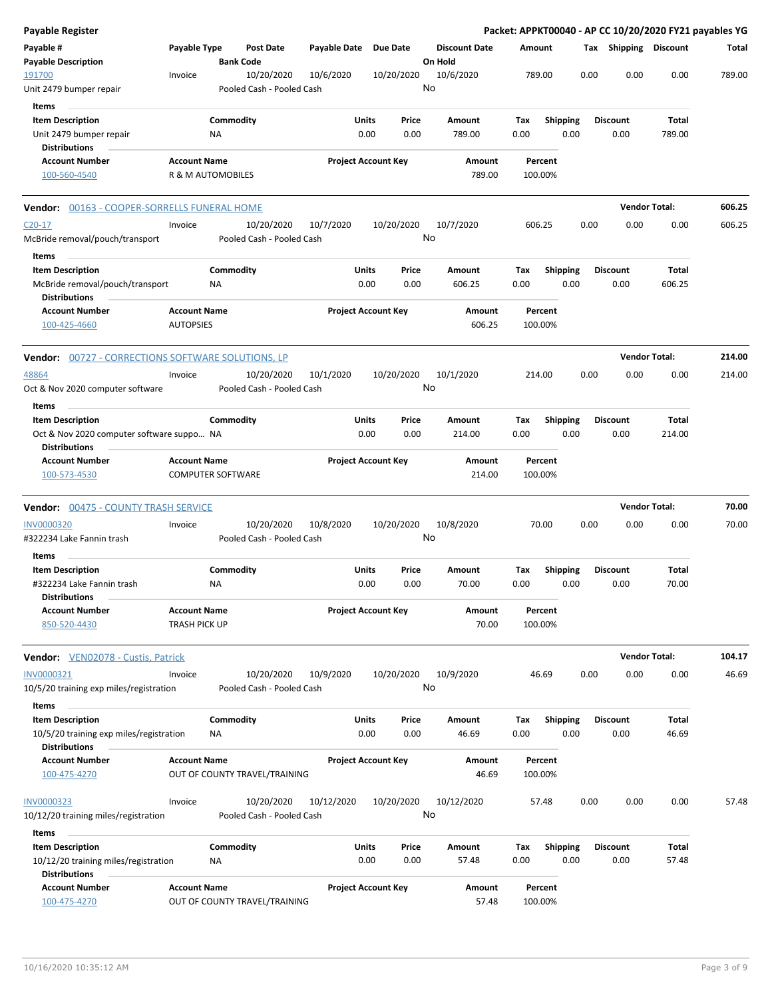| Payable Register                                                  |                      |                          |                               |                       |                            |                                 |      |         |                 |      |                       | Packet: APPKT00040 - AP CC 10/20/2020 FY21 payables YG |        |
|-------------------------------------------------------------------|----------------------|--------------------------|-------------------------------|-----------------------|----------------------------|---------------------------------|------|---------|-----------------|------|-----------------------|--------------------------------------------------------|--------|
| Payable #<br><b>Payable Description</b>                           | Payable Type         | <b>Bank Code</b>         | <b>Post Date</b>              | Payable Date Due Date |                            | <b>Discount Date</b><br>On Hold |      | Amount  |                 |      | Tax Shipping Discount |                                                        | Total  |
| 191700                                                            | Invoice              |                          | 10/20/2020                    | 10/6/2020             | 10/20/2020                 | 10/6/2020                       |      | 789.00  |                 | 0.00 | 0.00                  | 0.00                                                   | 789.00 |
| Unit 2479 bumper repair                                           |                      |                          | Pooled Cash - Pooled Cash     |                       |                            | No                              |      |         |                 |      |                       |                                                        |        |
| Items                                                             |                      |                          |                               |                       |                            |                                 |      |         |                 |      |                       |                                                        |        |
| <b>Item Description</b>                                           |                      | Commodity                |                               | Units                 | Price                      | Amount                          | Tax  |         | <b>Shipping</b> |      | <b>Discount</b>       | Total                                                  |        |
| Unit 2479 bumper repair                                           |                      | <b>NA</b>                |                               | 0.00                  | 0.00                       | 789.00                          | 0.00 |         | 0.00            |      | 0.00                  | 789.00                                                 |        |
| <b>Distributions</b>                                              |                      |                          |                               |                       |                            |                                 |      |         |                 |      |                       |                                                        |        |
| <b>Account Number</b>                                             | <b>Account Name</b>  |                          |                               |                       | <b>Project Account Key</b> | Amount                          |      | Percent |                 |      |                       |                                                        |        |
| 100-560-4540                                                      |                      | R & M AUTOMOBILES        |                               |                       |                            | 789.00                          |      | 100.00% |                 |      |                       |                                                        |        |
| Vendor: 00163 - COOPER-SORRELLS FUNERAL HOME                      |                      |                          |                               |                       |                            |                                 |      |         |                 |      |                       | <b>Vendor Total:</b>                                   | 606.25 |
| $C20-17$                                                          | Invoice              |                          | 10/20/2020                    | 10/7/2020             | 10/20/2020                 | 10/7/2020                       |      | 606.25  |                 | 0.00 | 0.00                  | 0.00                                                   | 606.25 |
| McBride removal/pouch/transport                                   |                      |                          | Pooled Cash - Pooled Cash     |                       |                            | No                              |      |         |                 |      |                       |                                                        |        |
| Items                                                             |                      |                          |                               |                       |                            |                                 |      |         |                 |      |                       |                                                        |        |
| <b>Item Description</b>                                           |                      | Commodity                |                               | Units                 | Price                      | Amount                          | Tax  |         | <b>Shipping</b> |      | <b>Discount</b>       | Total                                                  |        |
| McBride removal/pouch/transport<br><b>Distributions</b>           |                      | NA                       |                               | 0.00                  | 0.00                       | 606.25                          | 0.00 |         | 0.00            |      | 0.00                  | 606.25                                                 |        |
| <b>Account Number</b>                                             | <b>Account Name</b>  |                          |                               |                       | <b>Project Account Key</b> | Amount                          |      | Percent |                 |      |                       |                                                        |        |
| 100-425-4660                                                      | <b>AUTOPSIES</b>     |                          |                               |                       |                            | 606.25                          |      | 100.00% |                 |      |                       |                                                        |        |
| <b>Vendor:</b> 00727 - CORRECTIONS SOFTWARE SOLUTIONS, LP         |                      |                          |                               |                       |                            |                                 |      |         |                 |      |                       | <b>Vendor Total:</b>                                   | 214.00 |
| 48864                                                             | Invoice              |                          | 10/20/2020                    | 10/1/2020             | 10/20/2020                 | 10/1/2020                       |      | 214.00  |                 | 0.00 | 0.00                  | 0.00                                                   | 214.00 |
| Oct & Nov 2020 computer software                                  |                      |                          | Pooled Cash - Pooled Cash     |                       |                            | No                              |      |         |                 |      |                       |                                                        |        |
| Items                                                             |                      |                          |                               |                       |                            |                                 |      |         |                 |      |                       |                                                        |        |
| <b>Item Description</b>                                           |                      | Commodity                |                               | Units                 | Price                      | Amount                          | Tax  |         | <b>Shipping</b> |      | <b>Discount</b>       | Total                                                  |        |
| Oct & Nov 2020 computer software suppo NA<br><b>Distributions</b> |                      |                          |                               | 0.00                  | 0.00                       | 214.00                          | 0.00 |         | 0.00            |      | 0.00                  | 214.00                                                 |        |
| <b>Account Number</b>                                             | <b>Account Name</b>  |                          |                               |                       | <b>Project Account Key</b> | Amount                          |      | Percent |                 |      |                       |                                                        |        |
| 100-573-4530                                                      |                      | <b>COMPUTER SOFTWARE</b> |                               |                       |                            | 214.00                          |      | 100.00% |                 |      |                       |                                                        |        |
| Vendor: 00475 - COUNTY TRASH SERVICE                              |                      |                          |                               |                       |                            |                                 |      |         |                 |      |                       | <b>Vendor Total:</b>                                   | 70.00  |
| <b>INV0000320</b>                                                 | Invoice              |                          | 10/20/2020                    | 10/8/2020             | 10/20/2020                 | 10/8/2020                       |      | 70.00   |                 | 0.00 | 0.00                  | 0.00                                                   | 70.00  |
| #322234 Lake Fannin trash                                         |                      |                          | Pooled Cash - Pooled Cash     |                       |                            | No                              |      |         |                 |      |                       |                                                        |        |
| Items                                                             |                      |                          |                               |                       |                            |                                 |      |         |                 |      |                       |                                                        |        |
| <b>Item Description</b>                                           |                      | Commodity                |                               | Units                 | Price                      | Amount                          | Tax  |         | <b>Shipping</b> |      | <b>Discount</b>       | Total                                                  |        |
| #322234 Lake Fannin trash                                         |                      | <b>NA</b>                |                               | 0.00                  | 0.00                       | 70.00                           | 0.00 |         | 0.00            |      | 0.00                  | 70.00                                                  |        |
| <b>Distributions</b>                                              |                      |                          |                               |                       |                            |                                 |      |         |                 |      |                       |                                                        |        |
| <b>Account Number</b>                                             | <b>Account Name</b>  |                          |                               |                       | <b>Project Account Key</b> | Amount                          |      | Percent |                 |      |                       |                                                        |        |
| 850-520-4430                                                      | <b>TRASH PICK UP</b> |                          |                               |                       |                            | 70.00                           |      | 100.00% |                 |      |                       |                                                        |        |
| <b>Vendor:</b> VEN02078 - Custis, Patrick                         |                      |                          |                               |                       |                            |                                 |      |         |                 |      |                       | <b>Vendor Total:</b>                                   | 104.17 |
| INV0000321                                                        | Invoice              |                          | 10/20/2020                    | 10/9/2020             | 10/20/2020                 | 10/9/2020                       |      | 46.69   |                 | 0.00 | 0.00                  | 0.00                                                   | 46.69  |
| 10/5/20 training exp miles/registration                           |                      |                          | Pooled Cash - Pooled Cash     |                       |                            | No                              |      |         |                 |      |                       |                                                        |        |
| Items                                                             |                      |                          |                               |                       |                            |                                 |      |         |                 |      |                       |                                                        |        |
| <b>Item Description</b>                                           |                      | Commodity                |                               | Units                 | Price                      | Amount                          | Tax  |         | <b>Shipping</b> |      | <b>Discount</b>       | Total                                                  |        |
| 10/5/20 training exp miles/registration                           |                      | ΝA                       |                               | 0.00                  | 0.00                       | 46.69                           | 0.00 |         | 0.00            |      | 0.00                  | 46.69                                                  |        |
| <b>Distributions</b>                                              |                      |                          |                               |                       |                            |                                 |      |         |                 |      |                       |                                                        |        |
| <b>Account Number</b>                                             | <b>Account Name</b>  |                          |                               |                       | <b>Project Account Key</b> | Amount                          |      | Percent |                 |      |                       |                                                        |        |
| 100-475-4270                                                      |                      |                          | OUT OF COUNTY TRAVEL/TRAINING |                       |                            | 46.69                           |      | 100.00% |                 |      |                       |                                                        |        |
| INV0000323                                                        | Invoice              |                          | 10/20/2020                    | 10/12/2020            | 10/20/2020                 | 10/12/2020                      |      | 57.48   |                 | 0.00 | 0.00                  | 0.00                                                   | 57.48  |
| 10/12/20 training miles/registration                              |                      |                          | Pooled Cash - Pooled Cash     |                       |                            | No                              |      |         |                 |      |                       |                                                        |        |
| Items                                                             |                      |                          |                               |                       |                            |                                 |      |         |                 |      |                       |                                                        |        |
| <b>Item Description</b>                                           |                      | Commodity                |                               | Units                 | Price                      | Amount                          | Tax  |         | <b>Shipping</b> |      | <b>Discount</b>       | <b>Total</b>                                           |        |
| 10/12/20 training miles/registration                              |                      | NA                       |                               | 0.00                  | 0.00                       | 57.48                           | 0.00 |         | 0.00            |      | 0.00                  | 57.48                                                  |        |
| <b>Distributions</b>                                              |                      |                          |                               |                       |                            |                                 |      |         |                 |      |                       |                                                        |        |
| <b>Account Number</b>                                             | <b>Account Name</b>  |                          |                               |                       | <b>Project Account Key</b> | Amount                          |      | Percent |                 |      |                       |                                                        |        |
| 100-475-4270                                                      |                      |                          | OUT OF COUNTY TRAVEL/TRAINING |                       |                            | 57.48                           |      | 100.00% |                 |      |                       |                                                        |        |
|                                                                   |                      |                          |                               |                       |                            |                                 |      |         |                 |      |                       |                                                        |        |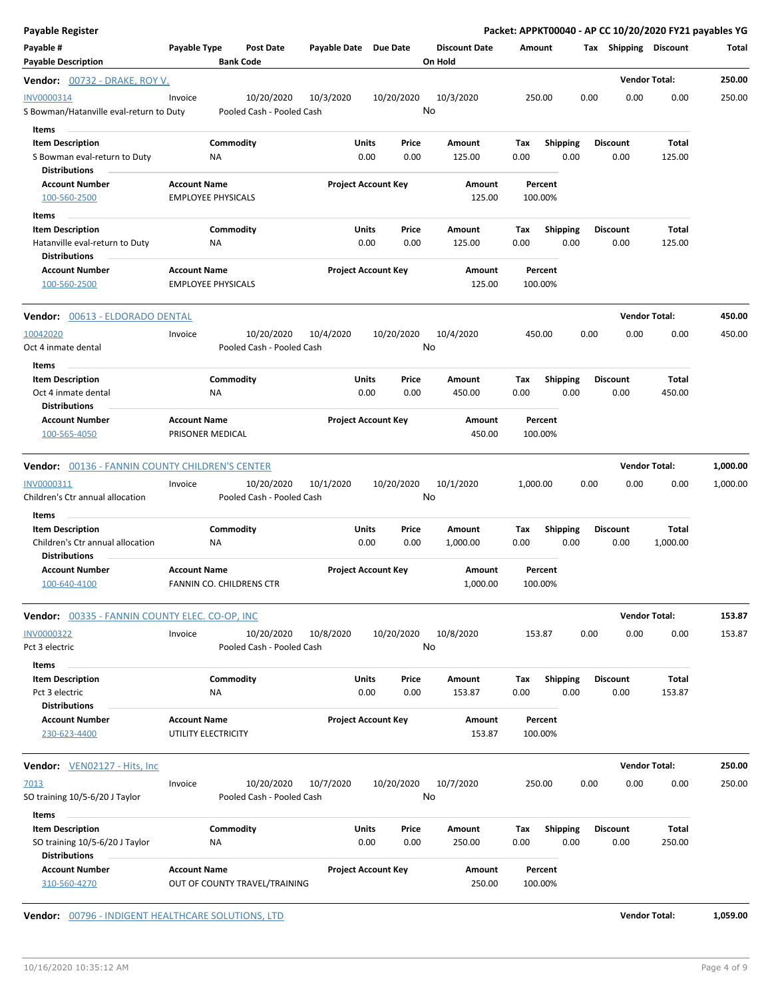| Payable Register                                                                  |                                                      |                                         |                       |                            |                                 |             |                         |      |                         | Packet: APPKT00040 - AP CC 10/20/2020 FY21 payables YG |          |
|-----------------------------------------------------------------------------------|------------------------------------------------------|-----------------------------------------|-----------------------|----------------------------|---------------------------------|-------------|-------------------------|------|-------------------------|--------------------------------------------------------|----------|
| Payable #<br><b>Payable Description</b>                                           | Payable Type                                         | <b>Post Date</b><br><b>Bank Code</b>    | Payable Date Due Date |                            | <b>Discount Date</b><br>On Hold | Amount      |                         |      |                         | Tax Shipping Discount                                  | Total    |
| <b>Vendor:</b> 00732 - DRAKE, ROY V.                                              |                                                      |                                         |                       |                            |                                 |             |                         |      |                         | <b>Vendor Total:</b>                                   | 250.00   |
| INV0000314<br>S Bowman/Hatanville eval-return to Duty<br><b>Items</b>             | Invoice                                              | 10/20/2020<br>Pooled Cash - Pooled Cash | 10/3/2020             | 10/20/2020                 | 10/3/2020<br>No                 |             | 250.00                  | 0.00 | 0.00                    | 0.00                                                   | 250.00   |
| <b>Item Description</b><br>S Bowman eval-return to Duty                           | Commodity<br>NA                                      |                                         | Units                 | Price<br>0.00<br>0.00      | Amount<br>125.00                | Tax<br>0.00 | <b>Shipping</b><br>0.00 |      | <b>Discount</b><br>0.00 | Total<br>125.00                                        |          |
| <b>Distributions</b>                                                              |                                                      |                                         |                       |                            |                                 |             |                         |      |                         |                                                        |          |
| <b>Account Number</b><br>100-560-2500                                             | <b>Account Name</b><br><b>EMPLOYEE PHYSICALS</b>     |                                         |                       | <b>Project Account Key</b> | Amount<br>125.00                |             | Percent<br>100.00%      |      |                         |                                                        |          |
| Items                                                                             |                                                      |                                         |                       |                            |                                 |             |                         |      |                         |                                                        |          |
| <b>Item Description</b><br>Hatanville eval-return to Duty                         | Commodity<br>NA                                      |                                         | Units                 | Price<br>0.00<br>0.00      | Amount<br>125.00                | Тах<br>0.00 | <b>Shipping</b><br>0.00 |      | <b>Discount</b><br>0.00 | Total<br>125.00                                        |          |
| <b>Distributions</b><br><b>Account Number</b><br>100-560-2500                     | <b>Account Name</b><br><b>EMPLOYEE PHYSICALS</b>     |                                         |                       | <b>Project Account Key</b> | Amount<br>125.00                |             | Percent<br>100.00%      |      |                         |                                                        |          |
| Vendor: 00613 - ELDORADO DENTAL                                                   |                                                      |                                         |                       |                            |                                 |             |                         |      |                         | <b>Vendor Total:</b>                                   | 450.00   |
| 10042020<br>Oct 4 inmate dental                                                   | Invoice                                              | 10/20/2020<br>Pooled Cash - Pooled Cash | 10/4/2020             | 10/20/2020                 | 10/4/2020<br>No                 |             | 450.00                  | 0.00 | 0.00                    | 0.00                                                   | 450.00   |
| Items                                                                             |                                                      |                                         |                       |                            |                                 |             |                         |      |                         |                                                        |          |
| <b>Item Description</b><br>Oct 4 inmate dental<br><b>Distributions</b>            | Commodity<br>ΝA                                      |                                         | Units                 | Price<br>0.00<br>0.00      | Amount<br>450.00                | Tax<br>0.00 | <b>Shipping</b><br>0.00 |      | <b>Discount</b><br>0.00 | Total<br>450.00                                        |          |
| <b>Account Number</b><br>100-565-4050                                             | <b>Account Name</b><br>PRISONER MEDICAL              |                                         |                       | <b>Project Account Key</b> | Amount<br>450.00                |             | Percent<br>100.00%      |      |                         |                                                        |          |
| <b>Vendor: 00136 - FANNIN COUNTY CHILDREN'S CENTER</b>                            |                                                      |                                         |                       |                            |                                 |             |                         |      |                         | <b>Vendor Total:</b>                                   | 1,000.00 |
| INV0000311<br>Children's Ctr annual allocation                                    | Invoice                                              | 10/20/2020<br>Pooled Cash - Pooled Cash | 10/1/2020             | 10/20/2020                 | 10/1/2020<br>No                 | 1,000.00    |                         | 0.00 | 0.00                    | 0.00                                                   | 1,000.00 |
| Items<br><b>Item Description</b>                                                  | Commodity                                            |                                         | Units                 | Price                      | Amount                          | Tax         | Shipping                |      | <b>Discount</b>         | Total                                                  |          |
| Children's Ctr annual allocation<br><b>Distributions</b>                          | NA                                                   |                                         |                       | 0.00<br>0.00               | 1,000.00                        | 0.00        | 0.00                    |      | 0.00                    | 1,000.00                                               |          |
| <b>Account Number</b><br>100-640-4100                                             | <b>Account Name</b><br>FANNIN CO. CHILDRENS CTR      |                                         |                       | <b>Project Account Key</b> | Amount<br>1,000.00              |             | Percent<br>100.00%      |      |                         |                                                        |          |
| <b>Vendor: 00335 - FANNIN COUNTY ELEC. CO-OP, INC</b>                             |                                                      |                                         |                       |                            |                                 |             |                         |      |                         | <b>Vendor Total:</b>                                   | 153.87   |
| <b>INV0000322</b><br>Pct 3 electric                                               | Invoice                                              | 10/20/2020<br>Pooled Cash - Pooled Cash | 10/8/2020             | 10/20/2020                 | 10/8/2020<br>No                 |             | 153.87                  | 0.00 | 0.00                    | 0.00                                                   | 153.87   |
| Items<br><b>Item Description</b>                                                  | Commodity                                            |                                         | Units                 | Price                      | Amount                          | Tax         | <b>Shipping</b>         |      | <b>Discount</b>         | Total                                                  |          |
| Pct 3 electric<br><b>Distributions</b>                                            | ΝA                                                   |                                         |                       | 0.00<br>0.00               | 153.87                          | 0.00        | 0.00                    |      | 0.00                    | 153.87                                                 |          |
| <b>Account Number</b><br>230-623-4400                                             | <b>Account Name</b><br>UTILITY ELECTRICITY           |                                         |                       | <b>Project Account Key</b> | Amount<br>153.87                |             | Percent<br>100.00%      |      |                         |                                                        |          |
| <b>Vendor:</b> VEN02127 - Hits, Inc.                                              |                                                      |                                         |                       |                            |                                 |             |                         |      |                         | <b>Vendor Total:</b>                                   | 250.00   |
| 7013<br>SO training 10/5-6/20 J Taylor                                            | Invoice                                              | 10/20/2020<br>Pooled Cash - Pooled Cash | 10/7/2020             | 10/20/2020                 | 10/7/2020<br>No                 |             | 250.00                  | 0.00 | 0.00                    | 0.00                                                   | 250.00   |
| Items                                                                             | Commodity                                            |                                         | Units                 | Price                      |                                 |             |                         |      | <b>Discount</b>         | Total                                                  |          |
| <b>Item Description</b><br>SO training 10/5-6/20 J Taylor<br><b>Distributions</b> | ΝA                                                   |                                         |                       | 0.00<br>0.00               | Amount<br>250.00                | Tax<br>0.00 | <b>Shipping</b><br>0.00 |      | 0.00                    | 250.00                                                 |          |
| <b>Account Number</b><br>310-560-4270                                             | <b>Account Name</b><br>OUT OF COUNTY TRAVEL/TRAINING |                                         |                       | <b>Project Account Key</b> | Amount<br>250.00                |             | Percent<br>100.00%      |      |                         |                                                        |          |

**Vendor:**  $\underline{00796}$  - INDIGENT HEALTHCARE SOLUTIONS, LTD **Vendor Total: 1,059.00**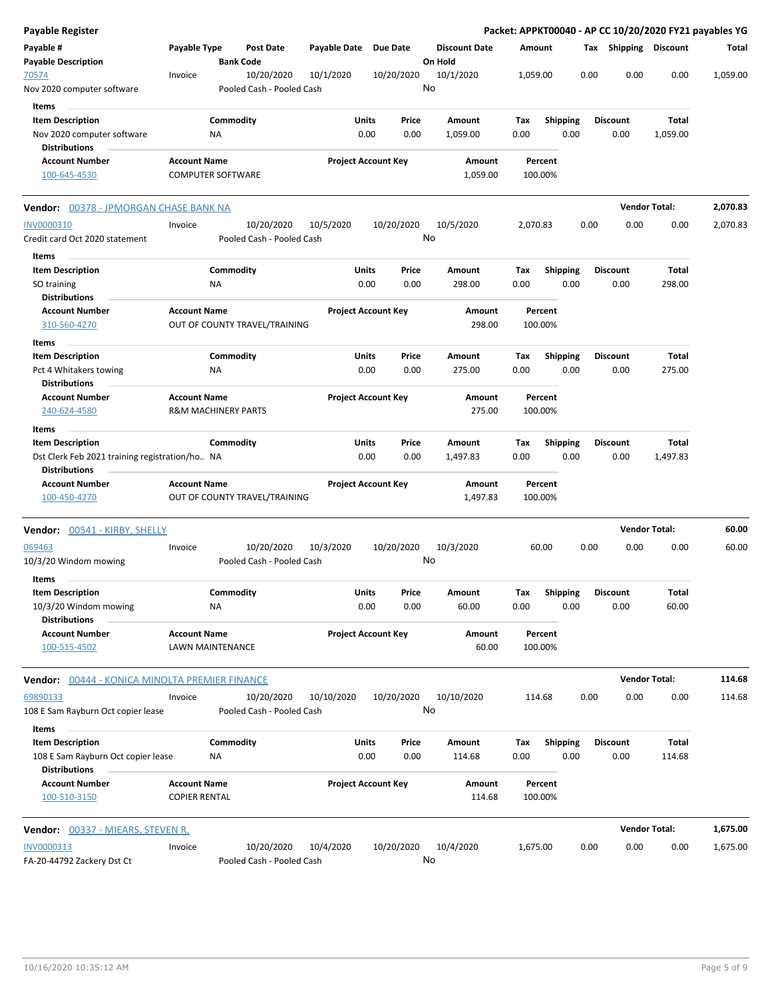| Payable Register                                      |                                         |                  |                                         |                       |                            |               |                                 |             |                  |      |                       | Packet: APPKT00040 - AP CC 10/20/2020 FY21 payables YG |          |
|-------------------------------------------------------|-----------------------------------------|------------------|-----------------------------------------|-----------------------|----------------------------|---------------|---------------------------------|-------------|------------------|------|-----------------------|--------------------------------------------------------|----------|
| Payable #<br><b>Payable Description</b>               | Payable Type                            | <b>Bank Code</b> | <b>Post Date</b>                        | Payable Date Due Date |                            |               | <b>Discount Date</b><br>On Hold | Amount      |                  |      | Tax Shipping Discount |                                                        | Total    |
| 70574<br>Nov 2020 computer software                   | Invoice                                 |                  | 10/20/2020<br>Pooled Cash - Pooled Cash | 10/1/2020             | 10/20/2020                 |               | 10/1/2020<br>No                 | 1,059.00    |                  | 0.00 | 0.00                  | 0.00                                                   | 1,059.00 |
| Items                                                 |                                         |                  |                                         |                       |                            |               |                                 |             |                  |      |                       |                                                        |          |
| <b>Item Description</b>                               |                                         | Commodity        |                                         | Units                 |                            | Price         | Amount                          | Tax         | <b>Shipping</b>  |      | <b>Discount</b>       | Total                                                  |          |
| Nov 2020 computer software                            |                                         | ΝA               |                                         |                       | 0.00                       | 0.00          | 1,059.00                        | 0.00        | 0.00             |      | 0.00                  | 1,059.00                                               |          |
| <b>Distributions</b>                                  |                                         |                  |                                         |                       |                            |               |                                 |             |                  |      |                       |                                                        |          |
| <b>Account Number</b>                                 | <b>Account Name</b>                     |                  |                                         |                       | <b>Project Account Key</b> |               | Amount                          |             | Percent          |      |                       |                                                        |          |
| 100-645-4530                                          | <b>COMPUTER SOFTWARE</b>                |                  |                                         |                       |                            |               | 1,059.00                        | 100.00%     |                  |      |                       |                                                        |          |
| Vendor: 00378 - JPMORGAN CHASE BANK NA                |                                         |                  |                                         |                       |                            |               |                                 |             |                  |      |                       | <b>Vendor Total:</b>                                   | 2,070.83 |
| INV0000310                                            | Invoice                                 |                  | 10/20/2020                              | 10/5/2020             | 10/20/2020                 |               | 10/5/2020                       | 2,070.83    |                  | 0.00 | 0.00                  | 0.00                                                   | 2,070.83 |
| Credit card Oct 2020 statement                        |                                         |                  | Pooled Cash - Pooled Cash               |                       |                            |               | No                              |             |                  |      |                       |                                                        |          |
| Items                                                 |                                         |                  |                                         |                       |                            |               |                                 |             |                  |      |                       |                                                        |          |
| <b>Item Description</b>                               |                                         | Commodity        |                                         | Units                 |                            | Price         | Amount                          | Tax         | <b>Shipping</b>  |      | <b>Discount</b>       | Total                                                  |          |
| SO training                                           |                                         | ΝA               |                                         |                       | 0.00                       | 0.00          | 298.00                          | 0.00        | 0.00             |      | 0.00                  | 298.00                                                 |          |
| <b>Distributions</b>                                  |                                         |                  |                                         |                       |                            |               |                                 |             |                  |      |                       |                                                        |          |
| <b>Account Number</b>                                 | <b>Account Name</b>                     |                  |                                         |                       | <b>Project Account Key</b> |               | Amount                          |             | Percent          |      |                       |                                                        |          |
| 310-560-4270                                          |                                         |                  | OUT OF COUNTY TRAVEL/TRAINING           |                       |                            |               | 298.00                          | 100.00%     |                  |      |                       |                                                        |          |
| <b>Items</b>                                          |                                         |                  |                                         |                       |                            |               |                                 |             |                  |      | <b>Discount</b>       |                                                        |          |
| <b>Item Description</b>                               |                                         | Commodity        |                                         | Units                 | 0.00                       | Price<br>0.00 | Amount<br>275.00                | Tax<br>0.00 | Shipping<br>0.00 |      | 0.00                  | Total<br>275.00                                        |          |
| Pct 4 Whitakers towing<br>Distributions               |                                         | ΝA               |                                         |                       |                            |               |                                 |             |                  |      |                       |                                                        |          |
| <b>Account Number</b>                                 | <b>Account Name</b>                     |                  |                                         |                       | <b>Project Account Key</b> |               | Amount                          |             | Percent          |      |                       |                                                        |          |
| 240-624-4580                                          | <b>R&amp;M MACHINERY PARTS</b>          |                  |                                         |                       |                            |               | 275.00                          | 100.00%     |                  |      |                       |                                                        |          |
| Items                                                 |                                         |                  |                                         |                       |                            |               |                                 |             |                  |      |                       |                                                        |          |
| <b>Item Description</b>                               |                                         | Commodity        |                                         | Units                 |                            | Price         | Amount                          | Tax         | <b>Shipping</b>  |      | <b>Discount</b>       | Total                                                  |          |
| Dst Clerk Feb 2021 training registration/ho NA        |                                         |                  |                                         |                       | 0.00                       | 0.00          | 1,497.83                        | 0.00        | 0.00             |      | 0.00                  | 1,497.83                                               |          |
| <b>Distributions</b>                                  |                                         |                  |                                         |                       |                            |               |                                 |             |                  |      |                       |                                                        |          |
| <b>Account Number</b>                                 | <b>Account Name</b>                     |                  |                                         |                       | <b>Project Account Key</b> |               | Amount                          |             | Percent          |      |                       |                                                        |          |
| 100-450-4270                                          |                                         |                  | OUT OF COUNTY TRAVEL/TRAINING           |                       |                            |               | 1,497.83                        | 100.00%     |                  |      |                       |                                                        |          |
| <b>Vendor:</b> 00541 - KIRBY, SHELLY                  |                                         |                  |                                         |                       |                            |               |                                 |             |                  |      |                       | <b>Vendor Total:</b>                                   | 60.00    |
| 069463                                                | Invoice                                 |                  | 10/20/2020                              | 10/3/2020             | 10/20/2020                 |               | 10/3/2020                       |             | 60.00            | 0.00 | 0.00                  | 0.00                                                   | 60.00    |
| 10/3/20 Windom mowing                                 |                                         |                  | Pooled Cash - Pooled Cash               |                       |                            |               | No                              |             |                  |      |                       |                                                        |          |
| Items                                                 |                                         |                  |                                         |                       |                            |               |                                 |             |                  |      |                       |                                                        |          |
| <b>Item Description</b>                               |                                         | Commodity        |                                         | <b>Units</b>          |                            | Price         | Amount                          | Tax         |                  |      | Shipping Discount     | Total                                                  |          |
| 10/3/20 Windom mowing                                 |                                         | ΝA               |                                         |                       | 0.00                       | 0.00          | 60.00                           | 0.00        | 0.00             |      | 0.00                  | 60.00                                                  |          |
| <b>Distributions</b>                                  |                                         |                  |                                         |                       |                            |               |                                 |             |                  |      |                       |                                                        |          |
| <b>Account Number</b><br>100-515-4502                 | <b>Account Name</b><br>LAWN MAINTENANCE |                  |                                         |                       | <b>Project Account Key</b> |               | Amount<br>60.00                 | 100.00%     | Percent          |      |                       |                                                        |          |
|                                                       |                                         |                  |                                         |                       |                            |               |                                 |             |                  |      |                       |                                                        |          |
| <b>Vendor:</b> 00444 - KONICA MINOLTA PREMIER FINANCE |                                         |                  |                                         |                       |                            |               |                                 |             |                  |      |                       | <b>Vendor Total:</b>                                   | 114.68   |
| 69890133                                              | Invoice                                 |                  | 10/20/2020                              | 10/10/2020            | 10/20/2020                 |               | 10/10/2020                      | 114.68      |                  | 0.00 | 0.00                  | 0.00                                                   | 114.68   |
| 108 E Sam Rayburn Oct copier lease<br>Items           |                                         |                  | Pooled Cash - Pooled Cash               |                       |                            |               | No                              |             |                  |      |                       |                                                        |          |
| <b>Item Description</b>                               |                                         | Commodity        |                                         | Units                 |                            | Price         | Amount                          | Tax         | Shipping         |      | <b>Discount</b>       | Total                                                  |          |
| 108 E Sam Rayburn Oct copier lease                    |                                         | NA               |                                         |                       | 0.00                       | 0.00          | 114.68                          | 0.00        | 0.00             |      | 0.00                  | 114.68                                                 |          |
| <b>Distributions</b><br><b>Account Number</b>         | <b>Account Name</b>                     |                  |                                         |                       | <b>Project Account Key</b> |               | Amount                          |             | Percent          |      |                       |                                                        |          |
| 100-510-3150                                          | <b>COPIER RENTAL</b>                    |                  |                                         |                       |                            |               | 114.68                          | 100.00%     |                  |      |                       |                                                        |          |
| <b>Vendor:</b> 00337 - MIEARS, STEVEN R.              |                                         |                  |                                         |                       |                            |               |                                 |             |                  |      |                       | <b>Vendor Total:</b>                                   | 1,675.00 |
| INV0000313                                            | Invoice                                 |                  | 10/20/2020                              | 10/4/2020             | 10/20/2020                 |               | 10/4/2020                       | 1,675.00    |                  | 0.00 | 0.00                  | 0.00                                                   | 1,675.00 |
| FA-20-44792 Zackery Dst Ct                            |                                         |                  | Pooled Cash - Pooled Cash               |                       |                            |               | No                              |             |                  |      |                       |                                                        |          |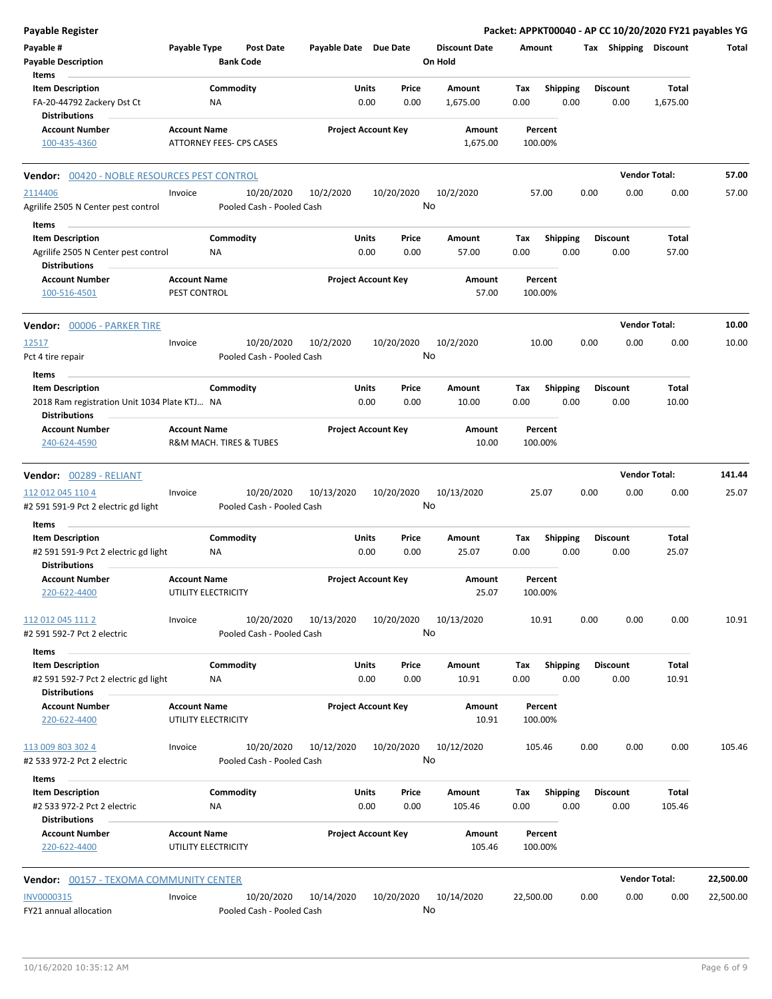| <b>Payable Register</b>                                                                                 |                                     |                          |                                         |                       |                      |                            |               |                                 |             |                         |      |                         |                       | Packet: APPKT00040 - AP CC 10/20/2020 FY21 payables YG |
|---------------------------------------------------------------------------------------------------------|-------------------------------------|--------------------------|-----------------------------------------|-----------------------|----------------------|----------------------------|---------------|---------------------------------|-------------|-------------------------|------|-------------------------|-----------------------|--------------------------------------------------------|
| Payable #<br><b>Payable Description</b>                                                                 | Payable Type                        | <b>Bank Code</b>         | <b>Post Date</b>                        | Payable Date Due Date |                      |                            |               | <b>Discount Date</b><br>On Hold | Amount      |                         |      | Tax Shipping Discount   |                       | Total                                                  |
| Items<br><b>Item Description</b><br>FA-20-44792 Zackery Dst Ct                                          |                                     | Commodity<br>ΝA          |                                         |                       | Units<br>0.00        |                            | Price<br>0.00 | Amount<br>1,675.00              | Tax<br>0.00 | Shipping<br>0.00        |      | <b>Discount</b><br>0.00 | Total<br>1,675.00     |                                                        |
| <b>Distributions</b><br><b>Account Number</b><br>100-435-4360                                           | <b>Account Name</b>                 | ATTORNEY FEES- CPS CASES |                                         |                       |                      | <b>Project Account Key</b> |               | Amount<br>1,675.00              |             | Percent<br>100.00%      |      |                         |                       |                                                        |
| 00420 - NOBLE RESOURCES PEST CONTROL<br>Vendor:                                                         |                                     |                          |                                         |                       |                      |                            |               |                                 |             |                         |      |                         | <b>Vendor Total:</b>  | 57.00                                                  |
| 2114406<br>Agrilife 2505 N Center pest control                                                          | Invoice                             |                          | 10/20/2020<br>Pooled Cash - Pooled Cash | 10/2/2020             |                      | 10/20/2020                 | No            | 10/2/2020                       |             | 57.00                   | 0.00 | 0.00                    | 0.00                  | 57.00                                                  |
| Items                                                                                                   |                                     |                          |                                         |                       |                      |                            |               |                                 |             |                         |      |                         |                       |                                                        |
| <b>Item Description</b><br>Agrilife 2505 N Center pest control<br><b>Distributions</b>                  |                                     | Commodity<br>NA          |                                         |                       | Units<br>0.00        |                            | Price<br>0.00 | Amount<br>57.00                 | Tax<br>0.00 | <b>Shipping</b><br>0.00 |      | <b>Discount</b><br>0.00 | Total<br>57.00        |                                                        |
| <b>Account Number</b><br>100-516-4501                                                                   | <b>Account Name</b><br>PEST CONTROL |                          |                                         |                       |                      | <b>Project Account Key</b> |               | Amount<br>57.00                 |             | Percent<br>100.00%      |      |                         |                       |                                                        |
| <b>Vendor: 00006 - PARKER TIRE</b>                                                                      |                                     |                          |                                         |                       |                      |                            |               |                                 |             |                         |      |                         | <b>Vendor Total:</b>  | 10.00                                                  |
| 12517<br>Pct 4 tire repair                                                                              | Invoice                             |                          | 10/20/2020<br>Pooled Cash - Pooled Cash | 10/2/2020             |                      | 10/20/2020                 | No            | 10/2/2020                       |             | 10.00                   | 0.00 | 0.00                    | 0.00                  | 10.00                                                  |
| Items<br><b>Item Description</b><br>2018 Ram registration Unit 1034 Plate KTJ NA                        |                                     | Commodity                |                                         |                       | Units<br>0.00        |                            | Price<br>0.00 | Amount<br>10.00                 | Tax<br>0.00 | <b>Shipping</b><br>0.00 |      | <b>Discount</b><br>0.00 | <b>Total</b><br>10.00 |                                                        |
| <b>Distributions</b><br><b>Account Number</b><br>240-624-4590                                           | <b>Account Name</b>                 | R&M MACH. TIRES & TUBES  |                                         |                       |                      | <b>Project Account Key</b> |               | Amount<br>10.00                 |             | Percent<br>100.00%      |      |                         |                       |                                                        |
| Vendor: 00289 - RELIANT                                                                                 |                                     |                          |                                         |                       |                      |                            |               |                                 |             |                         |      |                         | <b>Vendor Total:</b>  | 141.44                                                 |
| 112 012 045 110 4<br>#2 591 591-9 Pct 2 electric gd light                                               | Invoice                             |                          | 10/20/2020<br>Pooled Cash - Pooled Cash | 10/13/2020            |                      | 10/20/2020                 | No            | 10/13/2020                      |             | 25.07                   | 0.00 | 0.00                    | 0.00                  | 25.07                                                  |
| Items                                                                                                   |                                     |                          |                                         |                       |                      |                            |               |                                 |             |                         |      |                         |                       |                                                        |
| <b>Item Description</b><br>#2 591 591-9 Pct 2 electric gd light<br><b>Distributions</b>                 |                                     | Commodity<br>ΝA          |                                         |                       | Units<br>0.00        |                            | Price<br>0.00 | Amount<br>25.07                 | Tax<br>0.00 | <b>Shipping</b><br>0.00 |      | <b>Discount</b><br>0.00 | Total<br>25.07        |                                                        |
| <b>Account Number</b><br>220-622-4400                                                                   | <b>Account Name</b>                 | UTILITY ELECTRICITY      |                                         |                       |                      | <b>Project Account Key</b> |               | Amount<br>25.07                 |             | Percent<br>100.00%      |      |                         |                       |                                                        |
| 112 012 045 111 2<br>#2 591 592-7 Pct 2 electric                                                        | Invoice                             |                          | 10/20/2020<br>Pooled Cash - Pooled Cash | 10/13/2020            |                      | 10/20/2020                 | No            | 10/13/2020                      |             | 10.91                   | 0.00 | 0.00                    | 0.00                  | 10.91                                                  |
| <b>Items</b><br><b>Item Description</b><br>#2 591 592-7 Pct 2 electric gd light<br><b>Distributions</b> |                                     | Commodity<br>NA          |                                         |                       | Units<br>0.00        |                            | Price<br>0.00 | Amount<br>10.91                 | Tax<br>0.00 | Shipping<br>0.00        |      | <b>Discount</b><br>0.00 | Total<br>10.91        |                                                        |
| <b>Account Number</b><br>220-622-4400                                                                   | <b>Account Name</b>                 | UTILITY ELECTRICITY      |                                         |                       |                      | <b>Project Account Key</b> |               | Amount<br>10.91                 |             | Percent<br>100.00%      |      |                         |                       |                                                        |
| 113 009 803 302 4<br>#2 533 972-2 Pct 2 electric<br>Items                                               | Invoice                             |                          | 10/20/2020<br>Pooled Cash - Pooled Cash | 10/12/2020            |                      | 10/20/2020                 | No            | 10/12/2020                      |             | 105.46                  | 0.00 | 0.00                    | 0.00                  | 105.46                                                 |
| <b>Item Description</b><br>#2 533 972-2 Pct 2 electric<br><b>Distributions</b>                          |                                     | Commodity<br>NA          |                                         |                       | <b>Units</b><br>0.00 |                            | Price<br>0.00 | Amount<br>105.46                | Tax<br>0.00 | <b>Shipping</b><br>0.00 |      | <b>Discount</b><br>0.00 | Total<br>105.46       |                                                        |
| <b>Account Number</b><br>220-622-4400                                                                   | <b>Account Name</b>                 | UTILITY ELECTRICITY      |                                         |                       |                      | <b>Project Account Key</b> |               | Amount<br>105.46                |             | Percent<br>100.00%      |      |                         |                       |                                                        |
| <b>Vendor: 00157 - TEXOMA COMMUNITY CENTER</b>                                                          |                                     |                          |                                         |                       |                      |                            |               |                                 |             |                         |      |                         | <b>Vendor Total:</b>  | 22,500.00                                              |
| INV0000315<br>FY21 annual allocation                                                                    | Invoice                             |                          | 10/20/2020<br>Pooled Cash - Pooled Cash | 10/14/2020            |                      | 10/20/2020                 | No            | 10/14/2020                      | 22,500.00   |                         | 0.00 | 0.00                    | 0.00                  | 22,500.00                                              |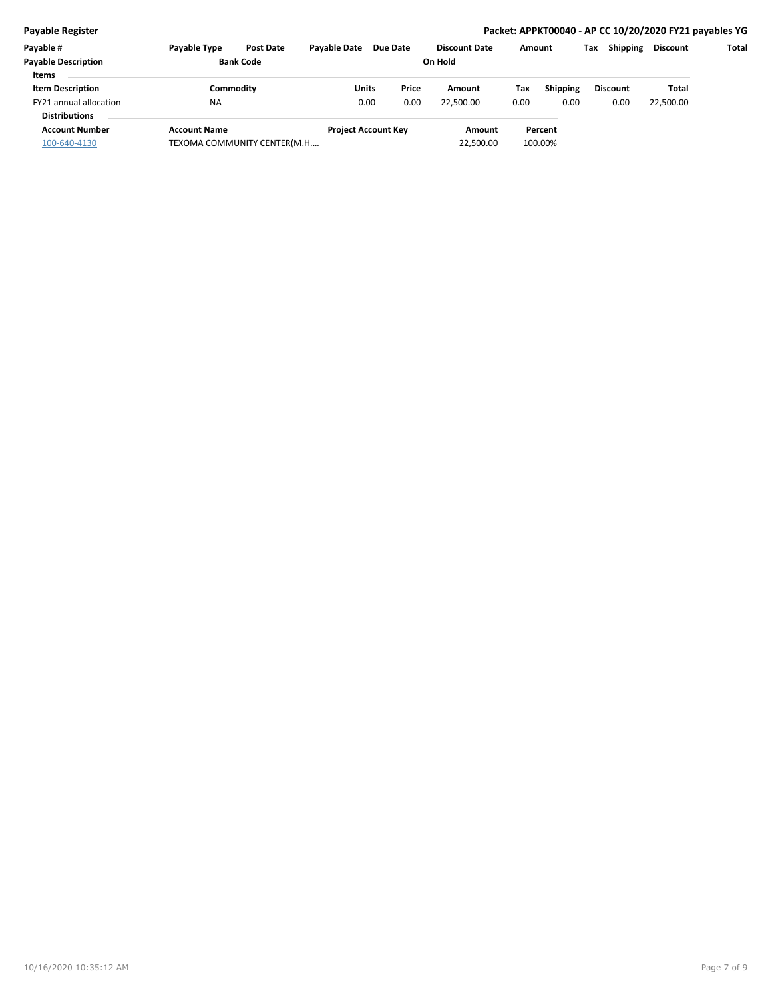## **Payable Register Packet: APPKT00040 - AP CC 10/20/2020 FY21 payables YG**

| Payable #                  | <b>Payable Type</b>         | <b>Post Date</b> | <b>Pavable Date</b>        | Due Date | <b>Discount Date</b> | Amount |                 | Tax | <b>Shipping</b> | <b>Discount</b> | Total |
|----------------------------|-----------------------------|------------------|----------------------------|----------|----------------------|--------|-----------------|-----|-----------------|-----------------|-------|
| <b>Payable Description</b> | <b>Bank Code</b>            |                  |                            |          | On Hold              |        |                 |     |                 |                 |       |
| <b>Items</b>               |                             |                  |                            |          |                      |        |                 |     |                 |                 |       |
| <b>Item Description</b>    |                             | Commoditv        | Units                      | Price    | Amount               | Tax    | <b>Shipping</b> |     | <b>Discount</b> | Total           |       |
| FY21 annual allocation     | <b>NA</b>                   |                  | 0.00                       | 0.00     | 22.500.00            | 0.00   | 0.00            |     | 0.00            | 22,500.00       |       |
| <b>Distributions</b>       |                             |                  |                            |          |                      |        |                 |     |                 |                 |       |
| <b>Account Number</b>      | <b>Account Name</b>         |                  | <b>Project Account Key</b> |          | Amount               |        | Percent         |     |                 |                 |       |
| 100-640-4130               | TEXOMA COMMUNITY CENTER(M.H |                  |                            |          | 22,500.00            |        | 100.00%         |     |                 |                 |       |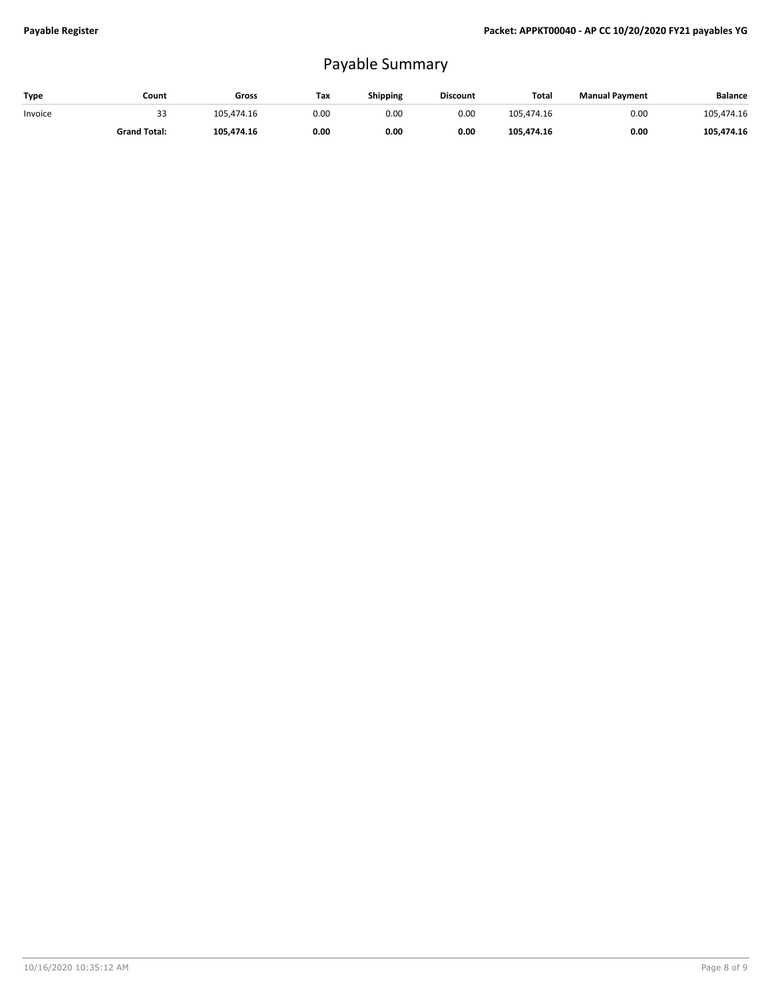## Payable Summary

| Type    | Count               | Gross      | Tax  | <b>Shipping</b> | <b>Discount</b> | Total      | <b>Manual Payment</b> | <b>Balance</b> |
|---------|---------------------|------------|------|-----------------|-----------------|------------|-----------------------|----------------|
| Invoice | 33                  | 105.474.16 | 0.00 | 0.00            | 0.00            | 105.474.16 | 0.00                  | 105,474.16     |
|         | <b>Grand Total:</b> | 105.474.16 | 0.00 | 0.00            | 0.00            | 105.474.16 | 0.00                  | 105.474.16     |